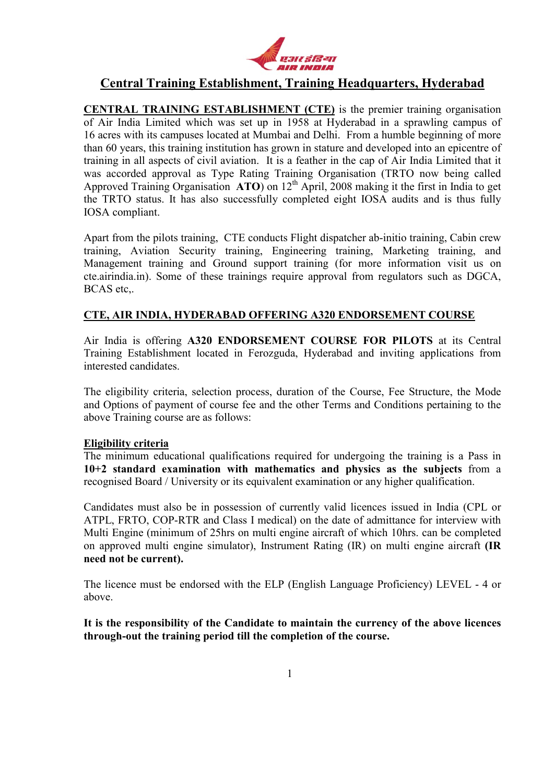

# Central Training Establishment, Training Headquarters, Hyderabad

CENTRAL TRAINING ESTABLISHMENT (CTE) is the premier training organisation of Air India Limited which was set up in 1958 at Hyderabad in a sprawling campus of 16 acres with its campuses located at Mumbai and Delhi. From a humble beginning of more than 60 years, this training institution has grown in stature and developed into an epicentre of training in all aspects of civil aviation. It is a feather in the cap of Air India Limited that it was accorded approval as Type Rating Training Organisation (TRTO now being called Approved Training Organisation  $\overrightarrow{ATO}$  on  $12^{th}$  April, 2008 making it the first in India to get the TRTO status. It has also successfully completed eight IOSA audits and is thus fully IOSA compliant.

Apart from the pilots training, CTE conducts Flight dispatcher ab-initio training, Cabin crew training, Aviation Security training, Engineering training, Marketing training, and Management training and Ground support training (for more information visit us on cte.airindia.in). Some of these trainings require approval from regulators such as DGCA, BCAS etc,.

## CTE, AIR INDIA, HYDERABAD OFFERING A320 ENDORSEMENT COURSE

Air India is offering A320 ENDORSEMENT COURSE FOR PILOTS at its Central Training Establishment located in Ferozguda, Hyderabad and inviting applications from interested candidates.

The eligibility criteria, selection process, duration of the Course, Fee Structure, the Mode and Options of payment of course fee and the other Terms and Conditions pertaining to the above Training course are as follows:

## Eligibility criteria

The minimum educational qualifications required for undergoing the training is a Pass in 10+2 standard examination with mathematics and physics as the subjects from a recognised Board / University or its equivalent examination or any higher qualification.

Candidates must also be in possession of currently valid licences issued in India (CPL or ATPL, FRTO, COP-RTR and Class I medical) on the date of admittance for interview with Multi Engine (minimum of 25hrs on multi engine aircraft of which 10hrs. can be completed on approved multi engine simulator), Instrument Rating (IR) on multi engine aircraft (IR need not be current).

The licence must be endorsed with the ELP (English Language Proficiency) LEVEL - 4 or above.

It is the responsibility of the Candidate to maintain the currency of the above licences through-out the training period till the completion of the course.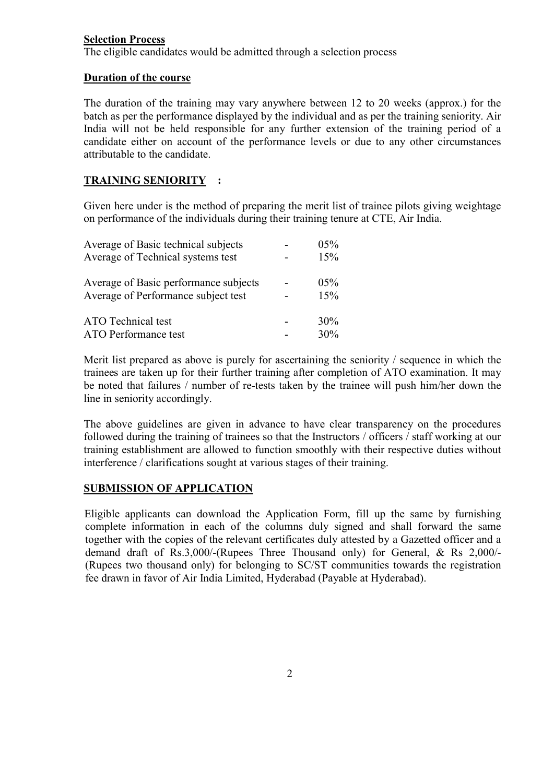## Selection Process

The eligible candidates would be admitted through a selection process

#### Duration of the course

The duration of the training may vary anywhere between 12 to 20 weeks (approx.) for the batch as per the performance displayed by the individual and as per the training seniority. Air India will not be held responsible for any further extension of the training period of a candidate either on account of the performance levels or due to any other circumstances attributable to the candidate.

## TRAINING SENIORITY :

Given here under is the method of preparing the merit list of trainee pilots giving weightage on performance of the individuals during their training tenure at CTE, Air India.

| Average of Basic technical subjects                                          | 05%            |
|------------------------------------------------------------------------------|----------------|
| Average of Technical systems test                                            | 15%            |
| Average of Basic performance subjects<br>Average of Performance subject test | $0.5\%$<br>15% |
| ATO Technical test                                                           | 30%            |
| <b>ATO Performance test</b>                                                  | 30%            |

Merit list prepared as above is purely for ascertaining the seniority / sequence in which the trainees are taken up for their further training after completion of ATO examination. It may be noted that failures / number of re-tests taken by the trainee will push him/her down the line in seniority accordingly.

The above guidelines are given in advance to have clear transparency on the procedures followed during the training of trainees so that the Instructors / officers / staff working at our training establishment are allowed to function smoothly with their respective duties without interference / clarifications sought at various stages of their training.

## SUBMISSION OF APPLICATION

Eligible applicants can download the Application Form, fill up the same by furnishing complete information in each of the columns duly signed and shall forward the same together with the copies of the relevant certificates duly attested by a Gazetted officer and a demand draft of Rs.3,000/-(Rupees Three Thousand only) for General, & Rs 2,000/- (Rupees two thousand only) for belonging to SC/ST communities towards the registration fee drawn in favor of Air India Limited, Hyderabad (Payable at Hyderabad).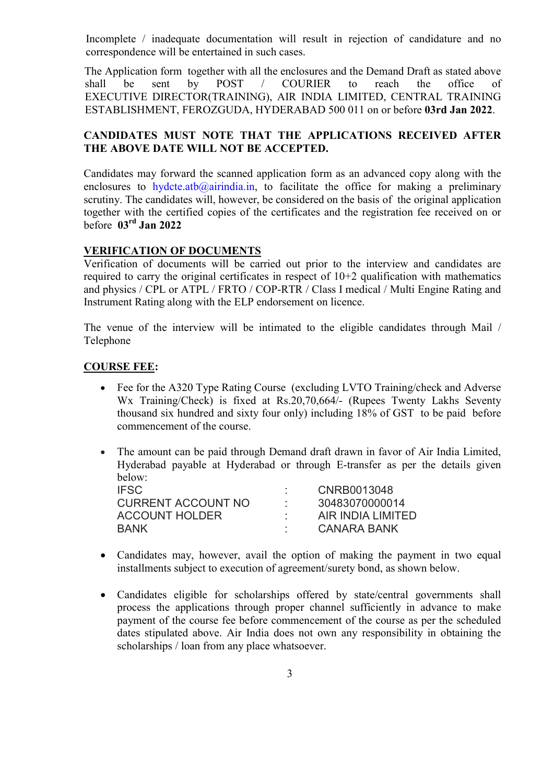Incomplete / inadequate documentation will result in rejection of candidature and no correspondence will be entertained in such cases.

The Application form together with all the enclosures and the Demand Draft as stated above shall be sent by POST / COURIER to reach the office of EXECUTIVE DIRECTOR(TRAINING), AIR INDIA LIMITED, CENTRAL TRAINING ESTABLISHMENT, FEROZGUDA, HYDERABAD 500 011 on or before 03rd Jan 2022.

## CANDIDATES MUST NOTE THAT THE APPLICATIONS RECEIVED AFTER THE ABOVE DATE WILL NOT BE ACCEPTED.

Candidates may forward the scanned application form as an advanced copy along with the enclosures to hydcte.atb $@airindia.in$ , to facilitate the office for making a preliminary scrutiny. The candidates will, however, be considered on the basis of the original application together with the certified copies of the certificates and the registration fee received on or before 03rd Jan 2022

## VERIFICATION OF DOCUMENTS

Verification of documents will be carried out prior to the interview and candidates are required to carry the original certificates in respect of 10+2 qualification with mathematics and physics / CPL or ATPL / FRTO / COP-RTR / Class I medical / Multi Engine Rating and Instrument Rating along with the ELP endorsement on licence.

The venue of the interview will be intimated to the eligible candidates through Mail / Telephone

## COURSE FEE:

 Fee for the A320 Type Rating Course (excluding LVTO Training/check and Adverse Wx Training/Check) is fixed at Rs.20,70,664/- (Rupees Twenty Lakhs Seventy thousand six hundred and sixty four only) including 18% of GST to be paid before commencement of the course.

 The amount can be paid through Demand draft drawn in favor of Air India Limited, Hyderabad payable at Hyderabad or through E-transfer as per the details given below:

| <b>IFSC</b>               | CNRB0013048       |
|---------------------------|-------------------|
| <b>CURRENT ACCOUNT NO</b> | 30483070000014    |
| <b>ACCOUNT HOLDER</b>     | AIR INDIA LIMITED |
| <b>BANK</b>               | CANARA BANK       |

- Candidates may, however, avail the option of making the payment in two equal installments subject to execution of agreement/surety bond, as shown below.
- Candidates eligible for scholarships offered by state/central governments shall process the applications through proper channel sufficiently in advance to make payment of the course fee before commencement of the course as per the scheduled dates stipulated above. Air India does not own any responsibility in obtaining the scholarships / loan from any place whatsoever.